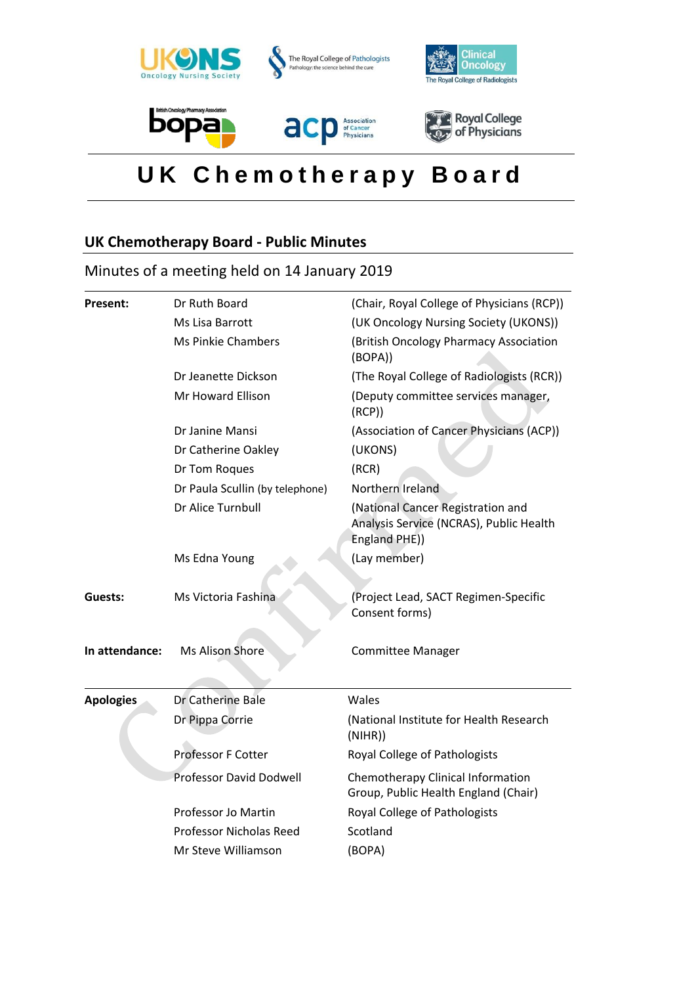

# **U K C h e m o t h e r a p y B o a r d**

# **UK Chemotherapy Board - Public Minutes**

# Minutes of a meeting held on 14 January 2019

| Present:         | Dr Ruth Board                   | (Chair, Royal College of Physicians (RCP))                                                    |
|------------------|---------------------------------|-----------------------------------------------------------------------------------------------|
|                  | Ms Lisa Barrott                 | (UK Oncology Nursing Society (UKONS))                                                         |
|                  | <b>Ms Pinkie Chambers</b>       | (British Oncology Pharmacy Association<br>(BOPA))                                             |
|                  | Dr Jeanette Dickson             | (The Royal College of Radiologists (RCR))                                                     |
|                  | Mr Howard Ellison               | (Deputy committee services manager,<br>(RCP)                                                  |
|                  | Dr Janine Mansi                 | (Association of Cancer Physicians (ACP))                                                      |
|                  | Dr Catherine Oakley             | (UKONS)                                                                                       |
|                  | Dr Tom Roques                   | (RCR)                                                                                         |
|                  | Dr Paula Scullin (by telephone) | Northern Ireland                                                                              |
|                  | Dr Alice Turnbull               | (National Cancer Registration and<br>Analysis Service (NCRAS), Public Health<br>England PHE)) |
|                  | Ms Edna Young                   | (Lay member)                                                                                  |
| Guests:          | Ms Victoria Fashina             | (Project Lead, SACT Regimen-Specific<br>Consent forms)                                        |
| In attendance:   | Ms Alison Shore                 | <b>Committee Manager</b>                                                                      |
| <b>Apologies</b> | Dr Catherine Bale               | Wales                                                                                         |
|                  | Dr Pippa Corrie                 | (National Institute for Health Research<br>(NIHR))                                            |
|                  | <b>Professor F Cotter</b>       | Royal College of Pathologists                                                                 |
|                  | <b>Professor David Dodwell</b>  | Chemotherapy Clinical Information<br>Group, Public Health England (Chair)                     |
|                  | Professor Jo Martin             | Royal College of Pathologists                                                                 |
|                  | <b>Professor Nicholas Reed</b>  | Scotland                                                                                      |
|                  | Mr Steve Williamson             | (BOPA)                                                                                        |
|                  |                                 |                                                                                               |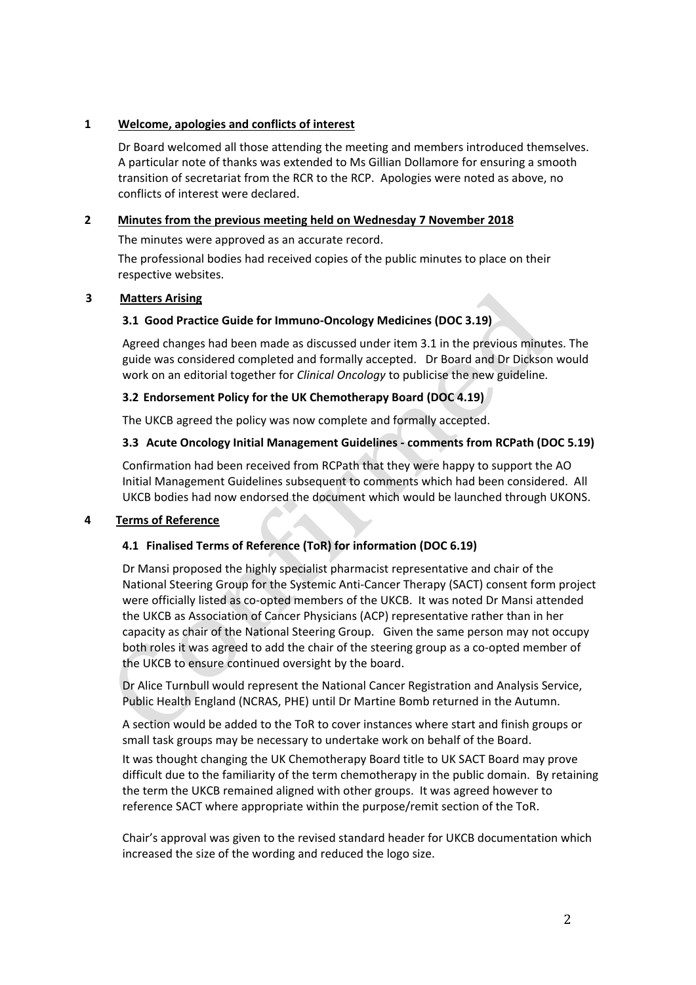# **1 Welcome, apologies and conflicts of interest**

Dr Board welcomed all those attending the meeting and members introduced themselves. A particular note of thanks was extended to Ms Gillian Dollamore for ensuring a smooth transition of secretariat from the RCR to the RCP. Apologies were noted as above, no conflicts of interest were declared.

# **2 Minutes from the previous meeting held on Wednesday 7 November 2018**

The minutes were approved as an accurate record.

The professional bodies had received copies of the public minutes to place on their respective websites.

#### **3 Matters Arising**

#### **3.1 Good Practice Guide for Immuno-Oncology Medicines (DOC 3.19)**

Agreed changes had been made as discussed under item 3.1 in the previous minutes. The guide was considered completed and formally accepted. Dr Board and Dr Dickson would work on an editorial together for *Clinical Oncology* to publicise the new guideline*.*

#### **3.2 Endorsement Policy for the UK Chemotherapy Board (DOC 4.19)**

The UKCB agreed the policy was now complete and formally accepted.

#### **3.3 Acute Oncology Initial Management Guidelines - comments from RCPath (DOC 5.19)**

Confirmation had been received from RCPath that they were happy to support the AO Initial Management Guidelines subsequent to comments which had been considered. All UKCB bodies had now endorsed the document which would be launched through UKONS.

#### **4 Terms of Reference**

#### **4.1 Finalised Terms of Reference (ToR) for information (DOC 6.19)**

Dr Mansi proposed the highly specialist pharmacist representative and chair of the National Steering Group for the Systemic Anti-Cancer Therapy (SACT) consent form project were officially listed as co-opted members of the UKCB. It was noted Dr Mansi attended the UKCB as Association of Cancer Physicians (ACP) representative rather than in her capacity as chair of the National Steering Group. Given the same person may not occupy both roles it was agreed to add the chair of the steering group as a co-opted member of the UKCB to ensure continued oversight by the board.

Dr Alice Turnbull would represent the National Cancer Registration and Analysis Service, Public Health England (NCRAS, PHE) until Dr Martine Bomb returned in the Autumn.

A section would be added to the ToR to cover instances where start and finish groups or small task groups may be necessary to undertake work on behalf of the Board.

It was thought changing the UK Chemotherapy Board title to UK SACT Board may prove difficult due to the familiarity of the term chemotherapy in the public domain. By retaining the term the UKCB remained aligned with other groups. It was agreed however to reference SACT where appropriate within the purpose/remit section of the ToR.

Chair's approval was given to the revised standard header for UKCB documentation which increased the size of the wording and reduced the logo size.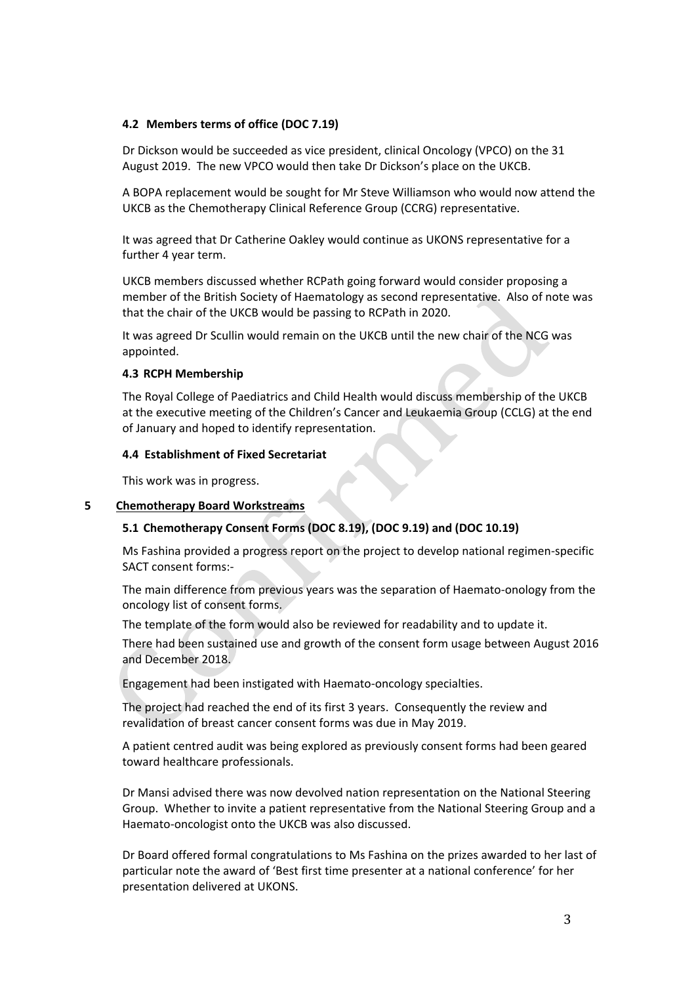#### **4.2 Members terms of office (DOC 7.19)**

Dr Dickson would be succeeded as vice president, clinical Oncology (VPCO) on the 31 August 2019. The new VPCO would then take Dr Dickson's place on the UKCB.

A BOPA replacement would be sought for Mr Steve Williamson who would now attend the UKCB as the Chemotherapy Clinical Reference Group (CCRG) representative.

It was agreed that Dr Catherine Oakley would continue as UKONS representative for a further 4 year term.

UKCB members discussed whether RCPath going forward would consider proposing a member of the British Society of Haematology as second representative. Also of note was that the chair of the UKCB would be passing to RCPath in 2020.

It was agreed Dr Scullin would remain on the UKCB until the new chair of the NCG was appointed.

#### **4.3 RCPH Membership**

The Royal College of Paediatrics and Child Health would discuss membership of the UKCB at the executive meeting of the Children's Cancer and Leukaemia Group (CCLG) at the end of January and hoped to identify representation.

#### **4.4 Establishment of Fixed Secretariat**

This work was in progress.

#### **5 Chemotherapy Board Workstreams**

# **5.1 Chemotherapy Consent Forms (DOC 8.19), (DOC 9.19) and (DOC 10.19)**

Ms Fashina provided a progress report on the project to develop national regimen-specific SACT consent forms:-

The main difference from previous years was the separation of Haemato-onology from the oncology list of consent forms.

The template of the form would also be reviewed for readability and to update it.

There had been sustained use and growth of the consent form usage between August 2016 and December 2018.

Engagement had been instigated with Haemato-oncology specialties.

The project had reached the end of its first 3 years. Consequently the review and revalidation of breast cancer consent forms was due in May 2019.

A patient centred audit was being explored as previously consent forms had been geared toward healthcare professionals.

Dr Mansi advised there was now devolved nation representation on the National Steering Group. Whether to invite a patient representative from the National Steering Group and a Haemato-oncologist onto the UKCB was also discussed.

Dr Board offered formal congratulations to Ms Fashina on the prizes awarded to her last of particular note the award of 'Best first time presenter at a national conference' for her presentation delivered at UKONS.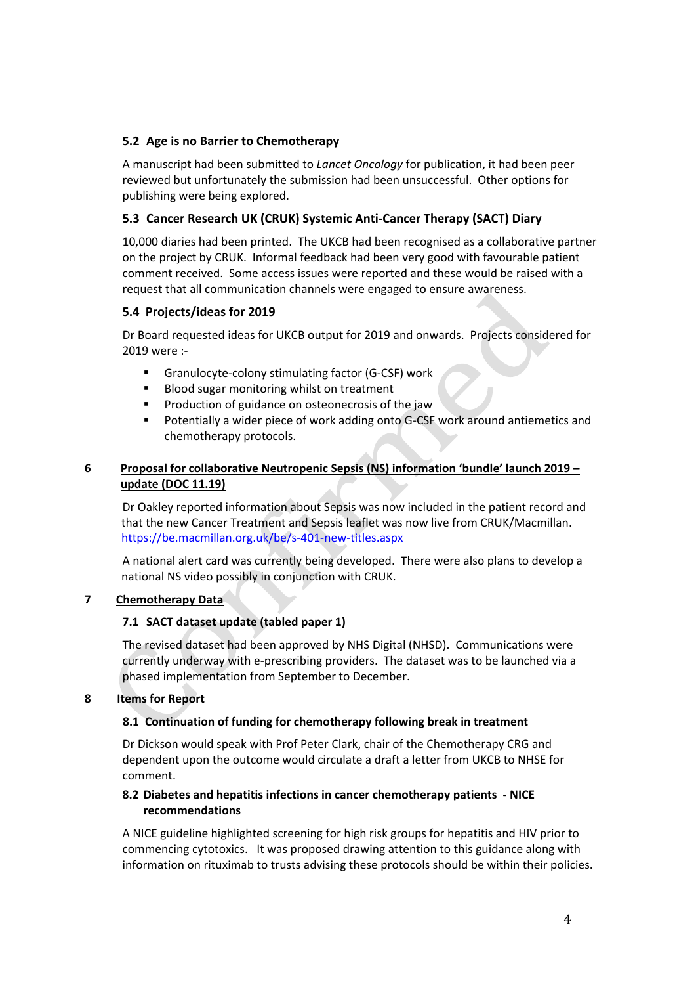# **5.2 Age is no Barrier to Chemotherapy**

A manuscript had been submitted to *Lancet Oncology* for publication, it had been peer reviewed but unfortunately the submission had been unsuccessful. Other options for publishing were being explored.

# **5.3 Cancer Research UK (CRUK) Systemic Anti-Cancer Therapy (SACT) Diary**

10,000 diaries had been printed. The UKCB had been recognised as a collaborative partner on the project by CRUK. Informal feedback had been very good with favourable patient comment received. Some access issues were reported and these would be raised with a request that all communication channels were engaged to ensure awareness.

# **5.4 Projects/ideas for 2019**

Dr Board requested ideas for UKCB output for 2019 and onwards. Projects considered for 2019 were :-

- **Granulocyte-colony stimulating factor (G-CSF) work**
- Blood sugar monitoring whilst on treatment
- **Production of guidance on osteonecrosis of the jaw**
- **Potentially a wider piece of work adding onto G-CSF work around antiemetics and** chemotherapy protocols.

# **6 Proposal for collaborative Neutropenic Sepsis (NS) information 'bundle' launch 2019 – update (DOC 11.19)**

Dr Oakley reported information about Sepsis was now included in the patient record and that the new Cancer Treatment and Sepsis leaflet was now live from CRUK/Macmillan. <https://be.macmillan.org.uk/be/s-401-new-titles.aspx>

A national alert card was currently being developed. There were also plans to develop a national NS video possibly in conjunction with CRUK.

# **7 Chemotherapy Data**

#### **7.1 SACT dataset update (tabled paper 1)**

The revised dataset had been approved by NHS Digital (NHSD). Communications were currently underway with e-prescribing providers. The dataset was to be launched via a phased implementation from September to December.

#### **8 Items for Report**

#### **8.1 Continuation of funding for chemotherapy following break in treatment**

Dr Dickson would speak with Prof Peter Clark, chair of the Chemotherapy CRG and dependent upon the outcome would circulate a draft a letter from UKCB to NHSE for comment.

# **8.2 Diabetes and hepatitis infections in cancer chemotherapy patients - NICE recommendations**

A NICE guideline highlighted screening for high risk groups for hepatitis and HIV prior to commencing cytotoxics. It was proposed drawing attention to this guidance along with information on rituximab to trusts advising these protocols should be within their policies.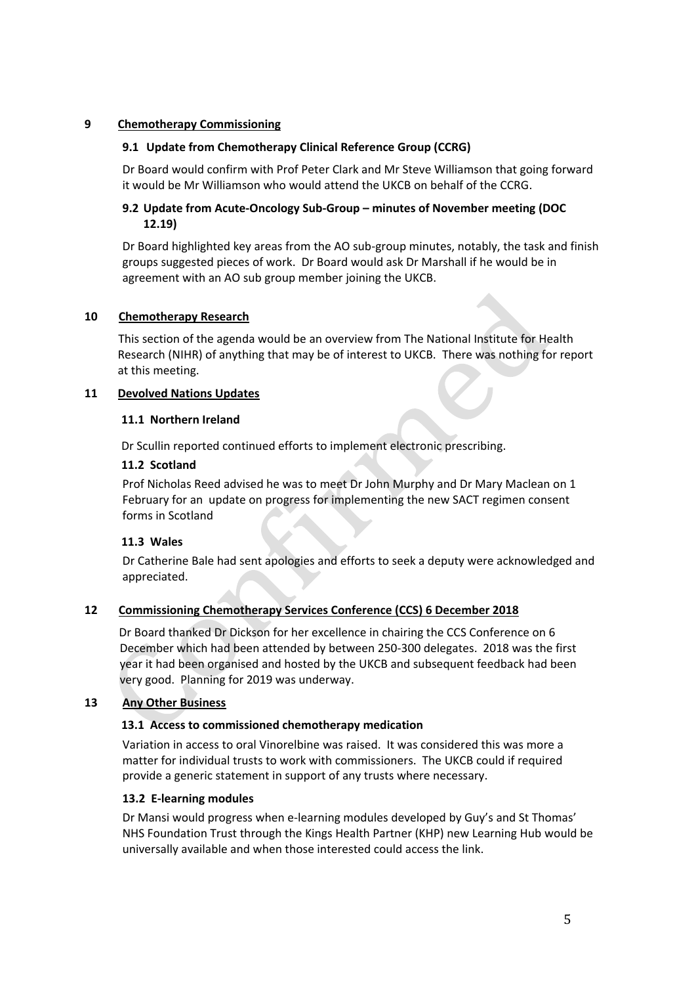# **9 Chemotherapy Commissioning**

# **9.1 Update from Chemotherapy Clinical Reference Group (CCRG)**

Dr Board would confirm with Prof Peter Clark and Mr Steve Williamson that going forward it would be Mr Williamson who would attend the UKCB on behalf of the CCRG.

# **9.2 Update from Acute-Oncology Sub-Group – minutes of November meeting (DOC 12.19)**

Dr Board highlighted key areas from the AO sub-group minutes, notably, the task and finish groups suggested pieces of work. Dr Board would ask Dr Marshall if he would be in agreement with an AO sub group member joining the UKCB.

# **10 Chemotherapy Research**

This section of the agenda would be an overview from The National Institute for Health Research (NIHR) of anything that may be of interest to UKCB. There was nothing for report at this meeting.

# **11 Devolved Nations Updates**

# **11.1 Northern Ireland**

Dr Scullin reported continued efforts to implement electronic prescribing.

# **11.2 Scotland**

Prof Nicholas Reed advised he was to meet Dr John Murphy and Dr Mary Maclean on 1 February for an update on progress for implementing the new SACT regimen consent forms in Scotland

#### **11.3 Wales**

Dr Catherine Bale had sent apologies and efforts to seek a deputy were acknowledged and appreciated.

# **12 Commissioning Chemotherapy Services Conference (CCS) 6 December 2018**

Dr Board thanked Dr Dickson for her excellence in chairing the CCS Conference on 6 December which had been attended by between 250-300 delegates. 2018 was the first year it had been organised and hosted by the UKCB and subsequent feedback had been very good. Planning for 2019 was underway.

# **13 Any Other Business**

# **13.1 Access to commissioned chemotherapy medication**

Variation in access to oral Vinorelbine was raised. It was considered this was more a matter for individual trusts to work with commissioners. The UKCB could if required provide a generic statement in support of any trusts where necessary.

#### **13.2 E-learning modules**

Dr Mansi would progress when e-learning modules developed by Guy's and St Thomas' NHS Foundation Trust through the Kings Health Partner (KHP) new Learning Hub would be universally available and when those interested could access the link.